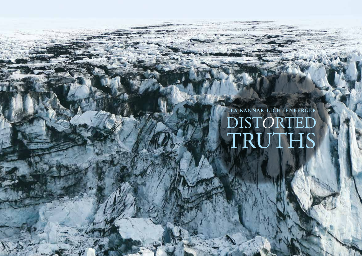**LEA KANNAR-LICHTENBERGER** DISTORTED TRUTHS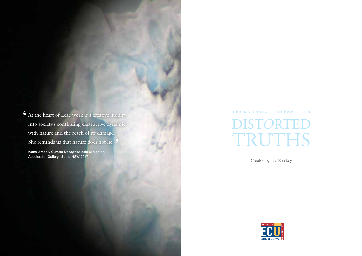At the heart of Lea's work is a creative inquiry **'** into society's continuing destructive dynamic with nature and the reach of its damage. She reminds us that nature does not lie. **'**

Ivana Jirasek, Curator *Deception* solo exhibition, Accelerator Gallery, Ultimo NSW 2017

# DISTORTED TRUTHS **LEA KANNAR-LICHTENBERGER**

Curated by Lisa Sharkey

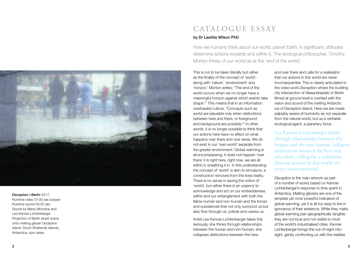

#### *Deception I Berlin* 2017,

Runtime video 01:00 sec looped Runtime sound 03:00 sec Sound by Maria Alfonsine and Lea Kannar-Lichtenberger Projection of Berlin street scene onto melting glacier Deception Island, South Shetlands Islands, Antarctica, size varies

### CATALOGUE ESSAY

#### by Dr Laetitia Wilson PhD

How we humans think about our world, planet Earth, is significant; attitudes determine actions towards and within it. The ecological philosopher, Timothy Morton thinks of our world as at the 'end of the world'.

This is not to be taken literally but rather as the finality of the concept of 'world', along with 'nature', 'environment' and 'horizon.' Morton writes; "The end of the world occurs when we no longer have a meaningful horizon against which events take shape." 1 This means that in an information overloaded culture, "Concepts such as world are plausible only when distinctions between here and there, or foreground and background are possible." 2 In other words, it is no longer possible to think that our actions here have no effect on what happens over there and vice versa. We do not exist in our 'own world' separate from the greater environment. Global warming is all encompassing; it does not happen 'over there' it is right here, right now, we are all within it, breathing it in. In this understanding the concept of 'world' is akin to simulacra, a construction removed from the lived reality. There is no sense in saving the notion of 'world', but rather there is an urgency to acknowledge and act on our embeddeness within and our entanglement with both the fellow human and non-human and the forces and substances that not only surround us but also flow through us, pollute and caress us.

Artist Lea Kannar-Lichtenberger takes this seriously, she thinks through relationships between the human and non-human, she collapses distinctions between the here

and over there and calls for a realisation that our actions in this world are never inconsequential. This is clearly articulated in the video work *Deception* where the bustling city intersection of Alexandraplatz in Berlin filmed at ground level is overlaid with the vision and sound of the melting Antarctic ice of Deception Island. Here we are made palpably aware of humanity as not separate from the natural world, but as a veritable ecological agent, a planetary force.

Lea Kannar-Lichtenberger thinks through relationships between the human and the non-human, collapses distinctions between the here and over there, calling for a realisation that our actions in this world are never inconsequential.

*Deception* is the main artwork as part of a number of works based on Kannar-Lichtenberger's response to time spent in Antarctica. Melting glaciers are one of the simplest yet most powerful indicators of global warming, yet it is all too easy to live in ignorance of their existence. While they make global warming pan-geographically tangible, they are not local and not visible to most of the world's industrialised cities. Kannar-Lichtenberger brings the out-of-sight intosight, gently confronting us with the realities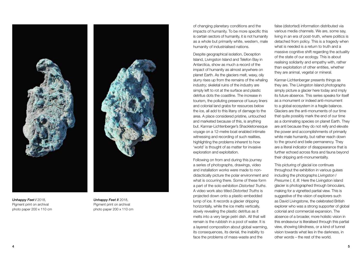*Unhappy Feet I* 2018, Pigment print on archival photo paper 200 x 110 cm



of changing planetary conditions and the impacts of humanity. To be more specific this is certain sectors of humanity, it is not humanity as a whole but primarily white, western, male humanity of industrialised nations.

Despite geographical isolation, Deception Island, Livingston Island and Telefon Bay in Antarctica, show as much a record of the impact of humanity as almost anywhere on planet Earth. As the glaciers melt, waxy, oily slurry rises up from the remains of the whaling industry; skeletal ruins of the industry are simply left to rot at the surface and plastic detritus dots the coastline. The increase in tourism, the polluting presence of luxury liners and colonial land grabs for resources below the ice, all add to this litany of damage to the area. A place considered pristine, untouched and marketed because of this, is anything but. Kannar-Lichtenberger's Shackletonesque voyage on a 12-metre boat enabled intimate witnessing and recording of such realities, highlighting the problems inherent to how 'world' is thought of as matter for invasive exploration and exploitation.

Following on from and during this journey a series of photographs, drawings, video and installation works were made to nondidactically picture the polar environment and what is occurring there. Some of these form a part of the solo exhibition *Distorted Truths*. A video work also titled *Distorted Truths* is projected down onto a plastic-embedded lump of ice. It records a glacier dripping horizontally, while the ice melts vertically, slowly revealing the plastic detritus as it melts into a very large petri dish. All that will remain is the rubbish in a pool of water. It is a layered composition about global warming, its consequences, its denial, the inability to face the problems of mass-waste and the

false (distorted) information distributed via various media channels. We are, some say, living in an era of post-truth, where politics is detached from policy. This is a tragedy when what is needed is a return to truth and a massive cognitive shift regarding the actuality of the state of our ecology. This is about realising solidarity and empathy with, rather than exploitation of other entities, whether they are animal, vegetal or mineral.

Kannar-Lichtenberger presents things as they are. The Livingston Island photographs simply picture a glacier here today and imply its future absence. This series speaks for itself as a monument or indeed anti-monument to a global ecosystem in a fragile balance. Glaciers are the anti-monuments of our time that quite possibly mark the end of our time as a dominating species on planet Earth. They are anti because they do not reify and elevate the power and accomplishments of primarily white male humanity, but rather reach down to the ground and belie permanency. They are a literal indicator of disappearance that is further echoed across flora and fauna beyond their dripping anti-monumentality.

This picturing of glacial ice continues throughout the exhibition in various guises including the photographs *Livingston I Presume I, II, III.* Here the Livingston island glacier is photographed through binoculars, making for a vignetted partial view. This is suggestive of the vision of explorers such as David Livingstone, the celebrated British explorer who was a strong supporter of global colonial and commercial expansion. The absence of a broader, more holistic vision in this endeavour is literalised through this partial view, showing blindness, or a kind of tunnel vision towards what lies in the darkness, in other words – the rest of the world.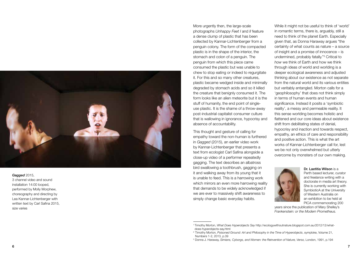

#### *Gagged* 2015,

3 channel video and sound installation 14:00 looped, performed by Molly Morphew, choreography and directing by Lea Kannar-Lichtenberger with written text by Carl Safina 2015, size varies

More urgently then, the large-scale photographs *Unhappy Feet I* and *II* feature a dense clump of plastic that has been collected by Kannar-Lichtenberger from a penguin colony. The form of the compacted plastic is in the shape of the interior, the stomach and colon of a penguin. The penguin from which this piece came consumed the plastic but was unable to chew to stop eating or indeed to regurgitate it. For this and so many other creatures, plastic became wedged inside and minimally degraded by stomach acids and so it killed the creature that benignly consumed it. The form looks like an alien meteorite but it is the stuff of humanity, the end point of singleuse plastic. It is the shame of a throw-away post-industrial capitalist consumer culture that is wallowing in ignorance, hypocrisy and absence of accountability.

This thought and gesture of calling for empathy toward the non-human is furthered in *Gagged* (2015), an earlier video work by Kannar-Lichtenberger that presents a text from ecologist Carl Safina alongside a close-up video of a performer repeatedly gagging. The text describes an albatross bird swallowing a toothbrush, gagging on it and walking away from its young that it is unable to feed. This is a harrowing work which mirrors an even more harrowing reality that demands to be widely acknowledged if we are ever to massively shift awareness to simply change basic everyday habits.

While it might not be useful to think of 'world' in romantic terms, there is, arguably, still a need to think of the planet Earth. Especially given that, as Donna Haraway argues "the certainty of what counts as nature – a source of insight and a promise of innocence – is undermined, probably fatally." 3 Critical to *how* we think of Earth and how we think through ideas of world and worlding is a deeper ecological awareness and adjusted thinking about our existence as not separate from the natural world and its various entities but veritably entangled. Morton calls for a 'geophilosophy' that does not think simply in terms of human events and human significance. Instead it posits a 'symbiotic reality', a messy and permeable reality. It this sense worlding becomes holistic and flattened and our core ideas about existence shift from debilitating states of denial, hypocrisy and inaction and towards respect, empathy, an ethics of care and responsibility and positive action. This is what the art works of Kannar-Lichtenberger call for, lest we be not only overwhelmed but utterly overcome by monsters of our own making.



Dr. Laetitia Wilson is a Perth based lecturer, curator and freelance writing with a doctorate in media art theory. She is currently working with SymbioticA at the University of Western Australia on an exhibition to be held at PICA commemorating 200

years since the publication of Mary Shelley's *Frankenstein: or the Modern Prometheus.*

<sup>1</sup> Timothy Morton, *What Does Hyperobjects Say* http://ecologywithoutnature.blogspot.com.au/2012/12/whatdoes-hyperobjects-say.html

<sup>2</sup> Timothy Morton, *Poisoned Ground: Art and Philosophy in the Time of Hyperobjects*, symploke, Volume 21, Numbers 1-2, 2013, p.39

<sup>3</sup> Donna J. Haraway, *Simians, Cyborgs, and Women: the Reinvention of Nature, Verso,* London, 1991, p.194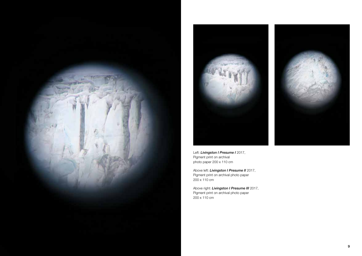





Above left: *Livingston I Presume II* 2017, Pigment print on archival photo paper 200 x 110 cm

Above right: *Livingston I Presume III* 2017, Pigment print on archival photo paper 200 x 110 cm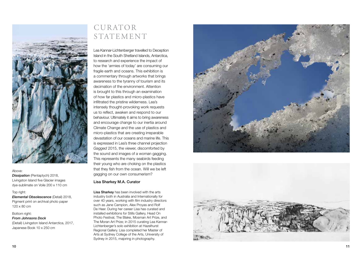

#### Above:

*Dissipation* (Pentaptych) 2018, Livingston Island five Glacier images dye-sublimate on Voile 200 x 110 cm

#### Top right:

*Elemental Obsolescence* (Detail) 2018, Pigment print on archival photo paper 120 x 80 cm

#### Bottom right:

*From Johnsons Dock* (Detail) Livingston Island Antarctica, 2017,

Japanese Book 10 x 250 cm

## CURATOR STATEMENT

Lea Kannar-Lichtenberger travelled to Deception Island in the South Shetland Islands, Antarctica, to research and experience the impact of how the 'armies of today' are consuming our fragile earth and oceans. This exhibition is a commentary through artworks that brings awareness to the tyranny of tourism and its decimation of the environment. Attention is brought to this through an examination of how far plastics and micro-plastics have infiltrated the pristine wilderness. Lea's intensely thought-provoking work requests us to reflect, awaken and respond to our behaviour. Ultimately it aims to bring awareness and encourage change to our inertia around Climate Change and the use of plastics and micro-plastics that are creating irreparable devastation of our oceans and marine life. This is expressed in Lea's three channel projection *Gagged* 2015, the viewer, discomforted by the sound and images of a woman gagging. This represents the many seabirds feeding their young who are choking on the plastics that they fish from the ocean. Will we be left gagging on our own consumerism?

#### Lisa Sharkey M.A. Curator

Lisa Sharkey has been involved with the arts industry both in Australia and Internationally for over 40 years, working with film industry directors such as Jane Campion, Alex Proyas and Rolf De Heer. During her career Lisa has curated and installed exhibitions for Stills Gallery, Head On Photo Festival, The Blake, Mosman Art Prize, and The Moran Art Prize; in 2015 curating Lea Kannar-Lichtenberger's solo exhibition at Hazelhurst Regional Gallery. Lisa completed her Master of Arts at Sydney College of the Arts, University of Sydney in 2015, majoring in photography.



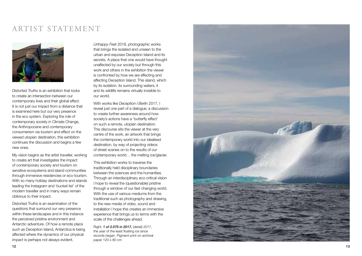### ARTIST STATEMENT



*Distorted Truths* is an exhibition that looks to create an intersection between our contemporary lives and their global effect. It is not just our impact from a distance that is examined here but our very presence in the eco system. Exploring the role of contemporary society in Climate Change, the Anthropocene and contemporary consumerism via tourism and effect on the viewed utopian destination, this exhibition continues the discussion and begins a few new ones.

My vision begins as the artist traveller, working to create art that investigates the impact of contemporary society and tourism on sensitive ecosystems and island communities through immersive residencies or eco-tourism. With so many holiday destinations and islands leading the Instagram and 'bucket list' of the modern traveller and in many ways remain oblivious to their impact.

Distorted Truths is an examination of the questions that surround our very presence within these landscapes and in this instance the perceived pristine environment and Antarctic adventure. Of how a remote place such as Deception Island, Antarctica is being affected where the dynamics of our physical impact is perhaps not always evident.

*Unhappy Feet* 2018, photographic works that brings the isolated and unseen to the urban and exposes Deception Island and its secrets. A place that one would have thought unaffected by our society but through this work and others in the exhibition the viewer is confronted by how we are effecting and affecting Deception Island. This island, which by its isolation, its surrounding waters, it and its wildlife remains virtually invisible to our world.

With works like *Deception I Berlin* 2017, I reveal just one part of a dialogue; a discussion to create further awareness around how society's actions have a 'butterfly effect' on such a remote, utopian destination. This discourse sits the viewer at the very centre of the work, an artwork that brings the contemporary world into our idealised destination, by way of projecting videos of street scenes on to the results of our contemporary world… the melting ice/glacier.

This exhibition works to traverse the traditionally held disciplinary boundaries between the sciences and the humanities. Through an interdisciplinary eco-critical vision I hope to reveal the (questionable) pristine through a window of our fast changing world. With the use of various mediums from the traditional such as photography and drawing, to the new media of video, sound and installation I hope this creates an immersive experience that brings us to terms with the scale of the challenges ahead.

Right: *1 of 2.075 in 2017,* (detail) 2017, the year of the least floating ice since records began. Pigment print on archival paper 120 x 80 cm

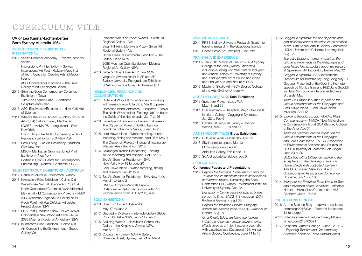# CURRICULUM VITÆ

#### CV of Lea Kannar-Lichtenberger Born Sydney Australia 1964

#### SELECTED GROUP EXHIBITIONS – INTERNATIONAL

2017 Venice Summer Academy – Palazzo Zenobio Venice

> Impressions Print Exhibition – Galway International Art Fest – Galway Mayo Inst of Tech, Centre for Creative Arts & Media – Ireland

ASCI Biodiversity/Extinctions – The Silva Gallery of Art Pennington School

- 2016 Stunning Edge Contemporary Ceramics Exhibition – Taiwan 10th Arte Laguna Prize – Shortlisted –
	- Sculpture and Video
- 2015 ASCI Biodiversity/Extinctions New York Hall of Science
- 2014 Where's the Art in Bio-Art? School of Visual Arts (SVA) Flatiron Gallery Manhattan NYABF – MoMA PS1 Long Island – SVA New York

Living Things are NOT Cooperating – Bio-Art Residency Exhibition SVA New York

2013 Semi Living – Bio-Art Residency Exhibition SVA New York MGC – Manhattan Graphics Juried Print Exhibition – New York Portrait in Print – Centre for Contemporary Printmaking – Norwalk Connecticut USA

#### SELECTED GROUP EXHIBITIONS – AUSTRALIA

2017 Harbour Sculpture – Woolwich Sydney

- 2016 Inkmasters Print Exhibition Cairns Qld Waterhouse Natural Science Art Prize S.A. North Queensland Ceramics Award (biennial) Elemental – M Contemporary Projects – NSW 2088 Mosman Regional Art Gallery NSW *Fresh Paint – Grilled Chicken* Articulate Project Space NSW
- 2015 SCA Post-Graduate Show NSWCNWAP Chippendale New World Art Prize – NSW 2088 Mosman Regional Art Gallery NSW
- 2014 Inkmasters Print Exhibition Cairns Qld Art Concerning the Environment – Scope Gallery Vic

Print and Works on Paper Awards – Swan Hill Regional Gallery – Vic Swan Hill Print & Drawing Prize – Swan Hill Regional Gallery – Vic Under Pressure Printmedia Exhibition – Red Gallery Glebe NSW 2088 Mosman Open Exhibition – Mosman Regional Art Gallery NSW

2013 Fisher's Ghost Open Art Prize – NSW Verge Art Awards finalist in 2D and 3D – Sydney University Postgraduate Exhibition SCAP – Sunshine Coast Art Prize – QLD

#### RESIDENCIES, RESEARCH AND COLLABORATIONS

- 2017 Culture at Work Ultimo Residency working with research from Antarctica, Mar 6 to present Deception Island (Antarctica) – Research 19 days The Ninth Wave project 'Floating Lab' on board the Guluk of the Netherlands, Jan 7 to 26
- 2016 Faroe Island Residency Research 4 weeks The Clipperton Project 'Floating Lab' on board the Johanna of Vagur, June 3 to 28
- 2015 Lord Howe Island Water sampling, sound recording, filming and research, April 25 to May 9 The Clipperton Project – Inaugural floating lab Western Australia, March 2015
- 2014 Galapagos Islands Researching filming, sound recording and research, Oct 1 to 15 Bio-Art Summer Residency – SVA New York, May 19 to June 20 Lord Howe Island – Water sampling, filming and research, Jan 12 to 26
- 2013 Bio-Art Summer Residency SVA New York, May 21 to June 21 OMG – Octopus Mandala Glow –
	- Collaborative Performance work with Prof Victoria Vesna chair UCL Art/Sci, Aug

#### SOLO EXHIBITIONS

- 2018 Spectrum Project Space WA, May 17 to June 2
- 2017 Gagged in Dystopia Interlude Gallery Glebe Point Rd Glebe NSW, Jan 27 to Feb 4
- 2015 Colliding Worlds Hazelhurst Community Gallery – the Kingsway Gymea NSW, Mar 6 to 17
- 2013 Coding the Future GAFFA Gallery Clarence Street, Sydney, Feb 21 to Mar 4

#### AWARDS AND GRANTS

2014 PRSS Sydney University Research Grant – for travel to research in the Galapagos Islands 2013 Ocean Grove Art Prize (Vic) – 1st Prize

#### TRAINING AND EXPERIENCE

- 2014 Jan 2016 Master of Fine Art SCA Sydney College of the Arts (Sydney University) including Auditing 2nd Year Botany, 3rd year and Marine Biology at University of Sydney and, 2nd year the Art of Sound and Noise and 2nd year Art and Nature at SCA
- 2013 Master of Studio Art SCA Sydney College of the Arts (Sydney University)

#### ARTIST (FLOOR) TALKS Solo Exhibitions

- 2018 Spectrum Project Space WA, May 18 and 25
- 2017 Culture at Work Deception, May 17 to June 10 Interlude Gallery – Gagging in Dystopia, Jan 22 to Feb 6
- 2015 Hazelhurst Regional Gallery Colliding Worlds, Mar 7, 8, 10 and 11

#### ARTIST (FLOOR) TALKS Group Exhibitions

- 2017 Culture at Work Open day, April 29 2016 Skyfire project space, Mar 13
- M Contemporary, Feb 20 Articulate Gallery, Feb 6 and 14
- 2015 SCA Graduate Exhibition, Dec 5

#### PUBLICATIONS

#### Conference Papers and Presentations

2017 *Beyond the Verbiage: Consumerism through Tourism and its manifestations in small islands and remote places.* Sustaining the Seas Conference SEI (Sydney Environment Institute) University of Sydney, Dec 12 *Deception – Convergence of spaces brings context to time.* ISACS17 Symposium ZKM Karlsruhe Germany, Sept 30 *Beyond the Idealised Mosaic: Stepping outside the comfort zone.* MAANZ Symposium Hobart, Aug 18

> *On a Knife's Edge: exploring the tourism industry and consumerisms environmental effects through art.* Joint paper presentation with Lina Espinosa (Columbia) 12th Annual Arts in Society Conference, June 14 to 16

- 2016 *Gagged in Dystopia: the use of plastic and* 
	- *non-politically correct materials in the creation of art.* 11th Annual Arts in Society Conference UCLA (University of California Los Angeles), Aug 12

*There Be Dragons: human impact on the unique environments of the Galapagos and Lord Howe Island.* Lecture about my research at Spektrum, (Art Laboratory Berlin), May 22 *Gagged in Dystopia,* ISEA (International Symposium of Electronic Art) Hong Kong May 19 *Gagged,* Presented at the Opening Keynote speech by Monica Gagliano PhD Jane Goodall Institute; Symposium Interconnectedness Brussels, May 14

*There Be Dragons: human impact on the unique environments of the Galapagos and Lord Howe Island* – Lord Howe Island Museum, April 13

2015 *Exploring the Microscopic World of Plant Communication* – NMiCA (New Materialism in Contemporary Art) at SCA (Sydney College of the Arts), Aug 31

*There be Dragons: human impact on the unique environments of the Galapagos and Lord Howe Island* – AESS (Association of Environmental Sciences and Studies) at UCSD (University of California San Diego), June 23 to 29

*Distinction with a Difference: exploring the ecospheres of the Galapagos and Lord Howe Islands with controlled tourism* – AMOS (Australian Metrological and Oceanographic Association) Conference Brisbane, July 15 to 18

2014 *Metaphor for Evolution: From Weed to Tree and exploration of the Dandelion* – Affective Habitat – Humanities Conference – ANU Canberra, June 19 to 21

#### PUBLICATIONS GENERAL

- 2016 Art the Science Blog http://artthescience. com/blog/2016/03/11/creators-lea-kannarlichtenberger/
- 2017 Video Interview Interlude Gallery https:// vimeo.com/210705521
- 2017 Artist and Climate Change June 12, 2017 – *Exploring Tourism and Contemporary Societies' Effect on Three Utopian Ideals*